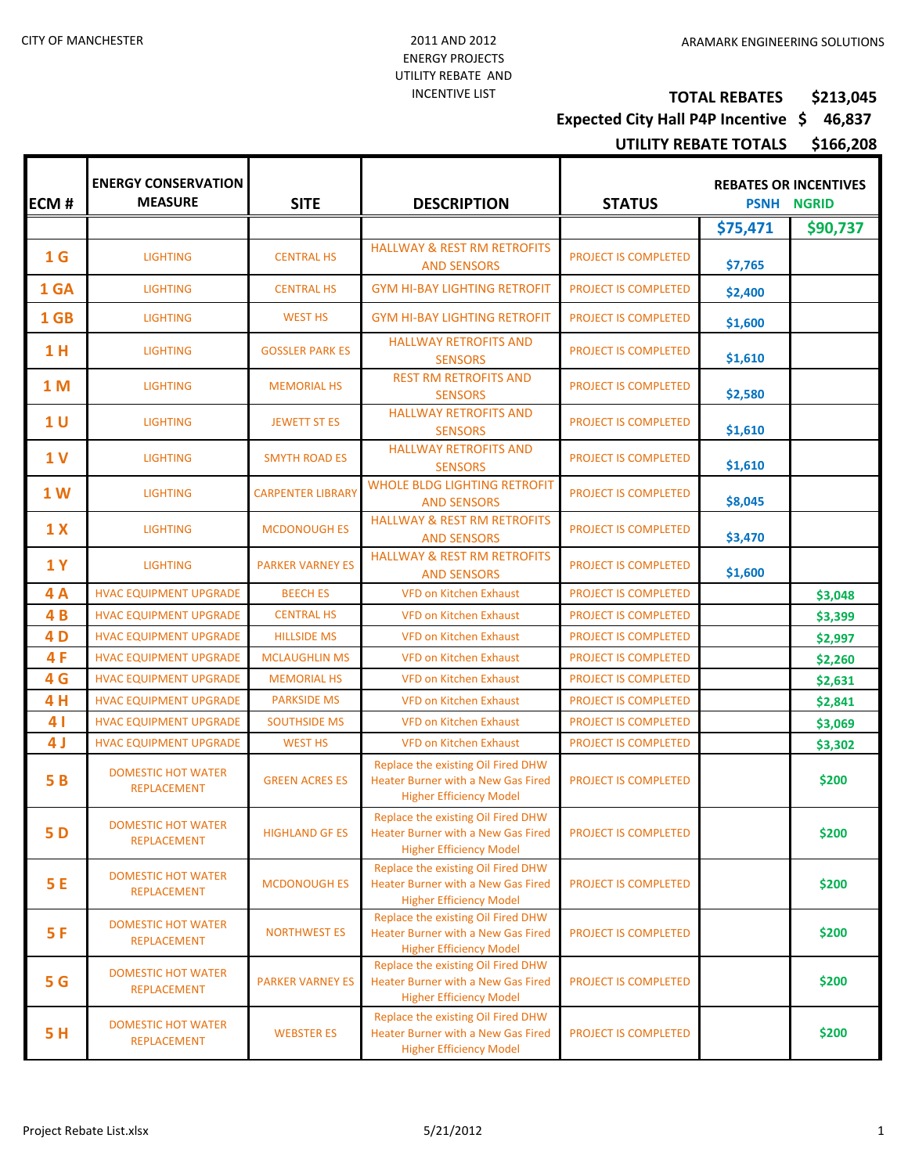## **TOTAL REBATES \$213,045**

## **Expected City Hall P4P Incentive \$ 46,837**

**UTILITY REBATE TOTALS \$166,208**

| ECM#           | <b>ENERGY CONSERVATION</b><br><b>MEASURE</b>    | <b>SITE</b>              | <b>DESCRIPTION</b>                                                                                                | <b>STATUS</b>               | <b>REBATES OR INCENTIVES</b><br><b>PSNH NGRID</b> |          |
|----------------|-------------------------------------------------|--------------------------|-------------------------------------------------------------------------------------------------------------------|-----------------------------|---------------------------------------------------|----------|
|                |                                                 |                          |                                                                                                                   |                             | \$75,471                                          | \$90,737 |
| 1 <sub>G</sub> | <b>LIGHTING</b>                                 | <b>CENTRAL HS</b>        | <b>HALLWAY &amp; REST RM RETROFITS</b><br><b>AND SENSORS</b>                                                      | PROJECT IS COMPLETED        | \$7,765                                           |          |
| 1 GA           | <b>LIGHTING</b>                                 | <b>CENTRAL HS</b>        | <b>GYM HI-BAY LIGHTING RETROFIT</b>                                                                               | PROJECT IS COMPLETED        | \$2,400                                           |          |
| 1 GB           | <b>LIGHTING</b>                                 | <b>WEST HS</b>           | <b>GYM HI-BAY LIGHTING RETROFIT</b>                                                                               | PROJECT IS COMPLETED        | \$1,600                                           |          |
| 1 H            | <b>LIGHTING</b>                                 | <b>GOSSLER PARK ES</b>   | <b>HALLWAY RETROFITS AND</b><br><b>SENSORS</b>                                                                    | PROJECT IS COMPLETED        | \$1,610                                           |          |
| <b>1M</b>      | <b>LIGHTING</b>                                 | <b>MEMORIAL HS</b>       | <b>REST RM RETROFITS AND</b><br><b>SENSORS</b>                                                                    | PROJECT IS COMPLETED        | \$2,580                                           |          |
| 1 <sub>U</sub> | <b>LIGHTING</b>                                 | <b>JEWETT ST ES</b>      | <b>HALLWAY RETROFITS AND</b><br><b>SENSORS</b>                                                                    | PROJECT IS COMPLETED        | \$1,610                                           |          |
| 1 <sub>V</sub> | <b>LIGHTING</b>                                 | <b>SMYTH ROAD ES</b>     | <b>HALLWAY RETROFITS AND</b><br><b>SENSORS</b>                                                                    | PROJECT IS COMPLETED        | \$1,610                                           |          |
| 1 <sub>W</sub> | <b>LIGHTING</b>                                 | <b>CARPENTER LIBRARY</b> | <b>WHOLE BLDG LIGHTING RETROFIT</b><br><b>AND SENSORS</b>                                                         | PROJECT IS COMPLETED        | \$8,045                                           |          |
| 1 <sub>X</sub> | <b>LIGHTING</b>                                 | <b>MCDONOUGH ES</b>      | <b>HALLWAY &amp; REST RM RETROFITS</b><br><b>AND SENSORS</b>                                                      | PROJECT IS COMPLETED        | \$3,470                                           |          |
| <b>1Y</b>      | <b>LIGHTING</b>                                 | <b>PARKER VARNEY ES</b>  | <b>HALLWAY &amp; REST RM RETROFITS</b><br><b>AND SENSORS</b>                                                      | PROJECT IS COMPLETED        | \$1,600                                           |          |
| 4A             | <b>HVAC EQUIPMENT UPGRADE</b>                   | <b>BEECH ES</b>          | <b>VFD on Kitchen Exhaust</b>                                                                                     | PROJECT IS COMPLETED        |                                                   | \$3,048  |
| 4B             | <b>HVAC EQUIPMENT UPGRADE</b>                   | <b>CENTRAL HS</b>        | <b>VFD on Kitchen Exhaust</b>                                                                                     | PROJECT IS COMPLETED        |                                                   | \$3,399  |
| 4 D            | <b>HVAC EQUIPMENT UPGRADE</b>                   | <b>HILLSIDE MS</b>       | <b>VFD on Kitchen Exhaust</b>                                                                                     | PROJECT IS COMPLETED        |                                                   | \$2,997  |
| 4F             | <b>HVAC EQUIPMENT UPGRADE</b>                   | <b>MCLAUGHLIN MS</b>     | <b>VFD on Kitchen Exhaust</b>                                                                                     | PROJECT IS COMPLETED        |                                                   | \$2,260  |
| 4 G            | <b>HVAC EQUIPMENT UPGRADE</b>                   | <b>MEMORIAL HS</b>       | <b>VFD on Kitchen Exhaust</b>                                                                                     | PROJECT IS COMPLETED        |                                                   | \$2,631  |
| 4H             | <b>HVAC EQUIPMENT UPGRADE</b>                   | <b>PARKSIDE MS</b>       | <b>VFD on Kitchen Exhaust</b>                                                                                     | PROJECT IS COMPLETED        |                                                   | \$2,841  |
| 4 <sub>1</sub> | <b>HVAC EQUIPMENT UPGRADE</b>                   | <b>SOUTHSIDE MS</b>      | <b>VFD on Kitchen Exhaust</b>                                                                                     | PROJECT IS COMPLETED        |                                                   | \$3,069  |
| 4 J            | <b>HVAC EQUIPMENT UPGRADE</b>                   | <b>WEST HS</b>           | <b>VFD on Kitchen Exhaust</b>                                                                                     | <b>PROJECT IS COMPLETED</b> |                                                   | \$3,302  |
| 5B             | <b>DOMESTIC HOT WATER</b><br><b>REPLACEMENT</b> | <b>GREEN ACRES ES</b>    | Replace the existing Oil Fired DHW<br><b>Heater Burner with a New Gas Fired</b><br><b>Higher Efficiency Model</b> | PROJECT IS COMPLETED        |                                                   | \$200    |
| <b>5D</b>      | DOMESTIC HOT WATER<br><b>REPLACEMENT</b>        | <b>HIGHLAND GF ES</b>    | Replace the existing Oil Fired DHW<br>Heater Burner with a New Gas Fired<br><b>Higher Efficiency Model</b>        | PROJECT IS COMPLETED        |                                                   | \$200    |
| 5E             | <b>DOMESTIC HOT WATER</b><br><b>REPLACEMENT</b> | <b>MCDONOUGH ES</b>      | Replace the existing Oil Fired DHW<br><b>Heater Burner with a New Gas Fired</b><br><b>Higher Efficiency Model</b> | PROJECT IS COMPLETED        |                                                   | \$200    |
| 5F             | <b>DOMESTIC HOT WATER</b><br><b>REPLACEMENT</b> | <b>NORTHWEST ES</b>      | Replace the existing Oil Fired DHW<br>Heater Burner with a New Gas Fired<br><b>Higher Efficiency Model</b>        | PROJECT IS COMPLETED        |                                                   | \$200    |
| <b>5 G</b>     | <b>DOMESTIC HOT WATER</b><br><b>REPLACEMENT</b> | <b>PARKER VARNEY ES</b>  | Replace the existing Oil Fired DHW<br><b>Heater Burner with a New Gas Fired</b><br><b>Higher Efficiency Model</b> | PROJECT IS COMPLETED        |                                                   | \$200    |
| 5H             | <b>DOMESTIC HOT WATER</b><br><b>REPLACEMENT</b> | <b>WEBSTER ES</b>        | Replace the existing Oil Fired DHW<br>Heater Burner with a New Gas Fired<br><b>Higher Efficiency Model</b>        | PROJECT IS COMPLETED        |                                                   | \$200    |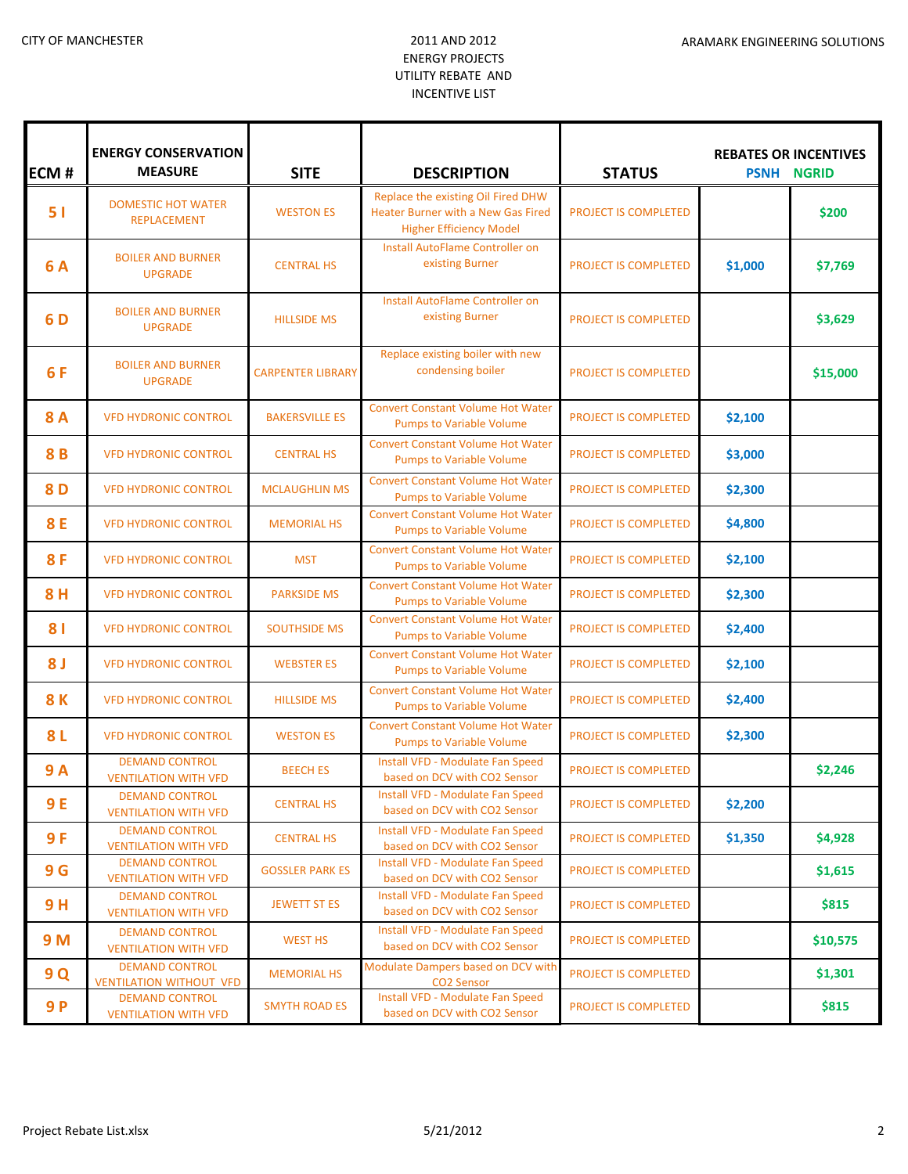## ENERGY PROJECTS UTILITY REBATE AND INCENTIVE LIST

| <b>ECM#</b>    | <b>ENERGY CONSERVATION</b><br><b>MEASURE</b>            | <b>SITE</b>              | <b>DESCRIPTION</b>                                                                                                | <b>STATUS</b>               | <b>REBATES OR INCENTIVES</b><br><b>PSNH NGRID</b> |          |
|----------------|---------------------------------------------------------|--------------------------|-------------------------------------------------------------------------------------------------------------------|-----------------------------|---------------------------------------------------|----------|
| 51             | <b>DOMESTIC HOT WATER</b><br><b>REPLACEMENT</b>         | <b>WESTON ES</b>         | Replace the existing Oil Fired DHW<br><b>Heater Burner with a New Gas Fired</b><br><b>Higher Efficiency Model</b> | <b>PROJECT IS COMPLETED</b> |                                                   | \$200    |
| <b>6A</b>      | <b>BOILER AND BURNER</b><br><b>UPGRADE</b>              | <b>CENTRAL HS</b>        | <b>Install AutoFlame Controller on</b><br>existing Burner                                                         | PROJECT IS COMPLETED        | \$1,000                                           | \$7,769  |
| 6 D            | <b>BOILER AND BURNER</b><br><b>UPGRADE</b>              | <b>HILLSIDE MS</b>       | Install AutoFlame Controller on<br>existing Burner                                                                | <b>PROJECT IS COMPLETED</b> |                                                   | \$3,629  |
| 6F             | <b>BOILER AND BURNER</b><br><b>UPGRADE</b>              | <b>CARPENTER LIBRARY</b> | Replace existing boiler with new<br>condensing boiler                                                             | PROJECT IS COMPLETED        |                                                   | \$15,000 |
| <b>8A</b>      | <b>VFD HYDRONIC CONTROL</b>                             | <b>BAKERSVILLE ES</b>    | <b>Convert Constant Volume Hot Water</b><br><b>Pumps to Variable Volume</b>                                       | PROJECT IS COMPLETED        | \$2,100                                           |          |
| 8B             | <b>VFD HYDRONIC CONTROL</b>                             | <b>CENTRAL HS</b>        | <b>Convert Constant Volume Hot Water</b><br><b>Pumps to Variable Volume</b>                                       | PROJECT IS COMPLETED        | \$3,000                                           |          |
| 8D             | <b>VFD HYDRONIC CONTROL</b>                             | <b>MCLAUGHLIN MS</b>     | <b>Convert Constant Volume Hot Water</b><br><b>Pumps to Variable Volume</b>                                       | PROJECT IS COMPLETED        | \$2,300                                           |          |
| <b>8E</b>      | <b>VFD HYDRONIC CONTROL</b>                             | <b>MEMORIAL HS</b>       | <b>Convert Constant Volume Hot Water</b><br><b>Pumps to Variable Volume</b>                                       | PROJECT IS COMPLETED        | \$4,800                                           |          |
| <b>8F</b>      | <b>VFD HYDRONIC CONTROL</b>                             | <b>MST</b>               | <b>Convert Constant Volume Hot Water</b><br><b>Pumps to Variable Volume</b>                                       | PROJECT IS COMPLETED        | \$2,100                                           |          |
| 8H             | <b>VFD HYDRONIC CONTROL</b>                             | <b>PARKSIDE MS</b>       | <b>Convert Constant Volume Hot Water</b><br><b>Pumps to Variable Volume</b>                                       | PROJECT IS COMPLETED        | \$2,300                                           |          |
| 81             | <b>VFD HYDRONIC CONTROL</b>                             | <b>SOUTHSIDE MS</b>      | <b>Convert Constant Volume Hot Water</b><br><b>Pumps to Variable Volume</b>                                       | PROJECT IS COMPLETED        | \$2,400                                           |          |
| 8 <sub>J</sub> | <b>VFD HYDRONIC CONTROL</b>                             | <b>WEBSTER ES</b>        | <b>Convert Constant Volume Hot Water</b><br><b>Pumps to Variable Volume</b>                                       | PROJECT IS COMPLETED        | \$2,100                                           |          |
| <b>8K</b>      | <b>VFD HYDRONIC CONTROL</b>                             | <b>HILLSIDE MS</b>       | <b>Convert Constant Volume Hot Water</b><br><b>Pumps to Variable Volume</b>                                       | PROJECT IS COMPLETED        | \$2,400                                           |          |
| 8L             | <b>VFD HYDRONIC CONTROL</b>                             | <b>WESTON ES</b>         | <b>Convert Constant Volume Hot Water</b><br><b>Pumps to Variable Volume</b>                                       | PROJECT IS COMPLETED        | \$2,300                                           |          |
| <b>9A</b>      | <b>DEMAND CONTROL</b><br><b>VENTILATION WITH VFD</b>    | <b>BEECH ES</b>          | Install VFD - Modulate Fan Speed<br>based on DCV with CO2 Sensor                                                  | <b>PROJECT IS COMPLETED</b> |                                                   | \$2,246  |
| 9 E            | <b>DEMAND CONTROL</b><br><b>VENTILATION WITH VFD</b>    | <b>CENTRAL HS</b>        | Install VFD - Modulate Fan Speed<br>based on DCV with CO2 Sensor                                                  | PROJECT IS COMPLETED        | \$2,200                                           |          |
| 9F             | <b>DEMAND CONTROL</b><br><b>VENTILATION WITH VFD</b>    | <b>CENTRAL HS</b>        | Install VFD - Modulate Fan Speed<br>based on DCV with CO2 Sensor                                                  | PROJECT IS COMPLETED        | \$1,350                                           | \$4,928  |
| 9 <sub>G</sub> | <b>DEMAND CONTROL</b><br><b>VENTILATION WITH VFD</b>    | <b>GOSSLER PARK ES</b>   | Install VFD - Modulate Fan Speed<br>based on DCV with CO2 Sensor                                                  | PROJECT IS COMPLETED        |                                                   | \$1,615  |
| 9H             | <b>DEMAND CONTROL</b><br><b>VENTILATION WITH VFD</b>    | <b>JEWETT ST ES</b>      | Install VFD - Modulate Fan Speed<br>based on DCV with CO2 Sensor                                                  | PROJECT IS COMPLETED        |                                                   | \$815    |
| 9 M            | <b>DEMAND CONTROL</b><br><b>VENTILATION WITH VFD</b>    | <b>WEST HS</b>           | Install VFD - Modulate Fan Speed<br>based on DCV with CO2 Sensor                                                  | PROJECT IS COMPLETED        |                                                   | \$10,575 |
| 9 Q            | <b>DEMAND CONTROL</b><br><b>VENTILATION WITHOUT VFD</b> | <b>MEMORIAL HS</b>       | Modulate Dampers based on DCV with<br><b>CO2 Sensor</b>                                                           | PROJECT IS COMPLETED        |                                                   | \$1,301  |
| 9P             | <b>DEMAND CONTROL</b><br><b>VENTILATION WITH VFD</b>    | <b>SMYTH ROAD ES</b>     | Install VFD - Modulate Fan Speed<br>based on DCV with CO2 Sensor                                                  | PROJECT IS COMPLETED        |                                                   | \$815    |